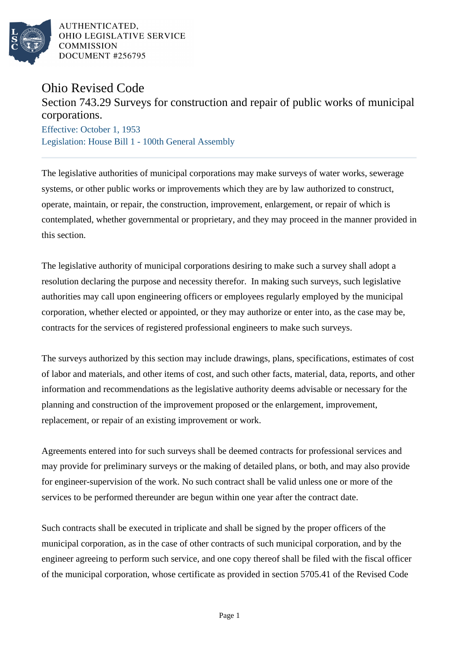

AUTHENTICATED. OHIO LEGISLATIVE SERVICE **COMMISSION** DOCUMENT #256795

## Ohio Revised Code

## Section 743.29 Surveys for construction and repair of public works of municipal corporations.

Effective: October 1, 1953 Legislation: House Bill 1 - 100th General Assembly

The legislative authorities of municipal corporations may make surveys of water works, sewerage systems, or other public works or improvements which they are by law authorized to construct, operate, maintain, or repair, the construction, improvement, enlargement, or repair of which is contemplated, whether governmental or proprietary, and they may proceed in the manner provided in this section.

The legislative authority of municipal corporations desiring to make such a survey shall adopt a resolution declaring the purpose and necessity therefor. In making such surveys, such legislative authorities may call upon engineering officers or employees regularly employed by the municipal corporation, whether elected or appointed, or they may authorize or enter into, as the case may be, contracts for the services of registered professional engineers to make such surveys.

The surveys authorized by this section may include drawings, plans, specifications, estimates of cost of labor and materials, and other items of cost, and such other facts, material, data, reports, and other information and recommendations as the legislative authority deems advisable or necessary for the planning and construction of the improvement proposed or the enlargement, improvement, replacement, or repair of an existing improvement or work.

Agreements entered into for such surveys shall be deemed contracts for professional services and may provide for preliminary surveys or the making of detailed plans, or both, and may also provide for engineer-supervision of the work. No such contract shall be valid unless one or more of the services to be performed thereunder are begun within one year after the contract date.

Such contracts shall be executed in triplicate and shall be signed by the proper officers of the municipal corporation, as in the case of other contracts of such municipal corporation, and by the engineer agreeing to perform such service, and one copy thereof shall be filed with the fiscal officer of the municipal corporation, whose certificate as provided in section 5705.41 of the Revised Code